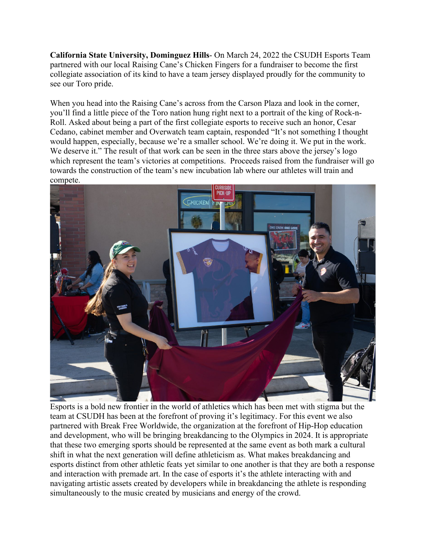**California State University, Dominguez Hills**- On March 24, 2022 the CSUDH Esports Team partnered with our local Raising Cane's Chicken Fingers for a fundraiser to become the first collegiate association of its kind to have a team jersey displayed proudly for the community to see our Toro pride.

When you head into the Raising Cane's across from the Carson Plaza and look in the corner, you'll find a little piece of the Toro nation hung right next to a portrait of the king of Rock-n-Roll. Asked about being a part of the first collegiate esports to receive such an honor, Cesar Cedano, cabinet member and Overwatch team captain, responded "It's not something I thought would happen, especially, because we're a smaller school. We're doing it. We put in the work. We deserve it." The result of that work can be seen in the three stars above the jersey's logo which represent the team's victories at competitions. Proceeds raised from the fundraiser will go towards the construction of the team's new incubation lab where our athletes will train and compete.



Esports is a bold new frontier in the world of athletics which has been met with stigma but the team at CSUDH has been at the forefront of proving it's legitimacy. For this event we also partnered with Break Free Worldwide, the organization at the forefront of Hip-Hop education and development, who will be bringing breakdancing to the Olympics in 2024. It is appropriate that these two emerging sports should be represented at the same event as both mark a cultural shift in what the next generation will define athleticism as. What makes breakdancing and esports distinct from other athletic feats yet similar to one another is that they are both a response and interaction with premade art. In the case of esports it's the athlete interacting with and navigating artistic assets created by developers while in breakdancing the athlete is responding simultaneously to the music created by musicians and energy of the crowd.